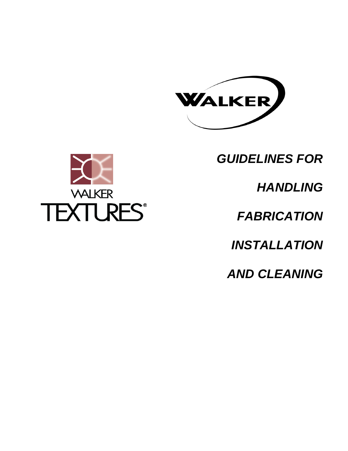

*GUIDELINES FOR*



*FABRICATION* 

*INSTALLATION* 

*AND CLEANING*

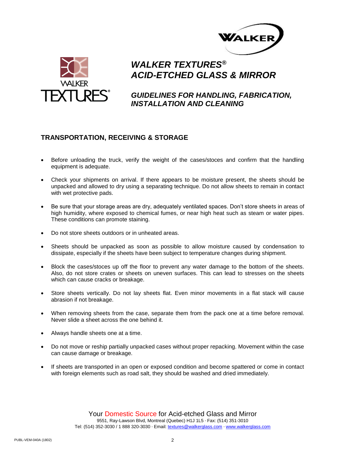



*GUIDELINES FOR HANDLING, FABRICATION, INSTALLATION AND CLEANING*

### **TRANSPORTATION, RECEIVING & STORAGE**

- Before unloading the truck, verify the weight of the cases/stoces and confirm that the handling equipment is adequate.
- Check your shipments on arrival. If there appears to be moisture present, the sheets should be unpacked and allowed to dry using a separating technique. Do not allow sheets to remain in contact with wet protective pads.
- Be sure that your storage areas are dry, adequately ventilated spaces. Don't store sheets in areas of high humidity, where exposed to chemical fumes, or near high heat such as steam or water pipes. These conditions can promote staining.
- Do not store sheets outdoors or in unheated areas.
- Sheets should be unpacked as soon as possible to allow moisture caused by condensation to dissipate, especially if the sheets have been subject to temperature changes during shipment.
- Block the cases/stoces up off the floor to prevent any water damage to the bottom of the sheets. Also, do not store crates or sheets on uneven surfaces. This can lead to stresses on the sheets which can cause cracks or breakage.
- Store sheets vertically. Do not lay sheets flat. Even minor movements in a flat stack will cause abrasion if not breakage.
- When removing sheets from the case, separate them from the pack one at a time before removal. Never slide a sheet across the one behind it.
- Always handle sheets one at a time.
- Do not move or reship partially unpacked cases without proper repacking. Movement within the case can cause damage or breakage.
- If sheets are transported in an open or exposed condition and become spattered or come in contact with foreign elements such as road salt, they should be washed and dried immediately.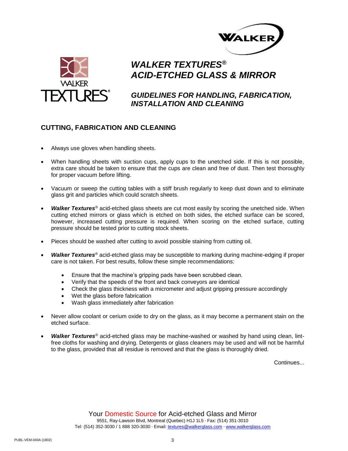



# *GUIDELINES FOR HANDLING, FABRICATION, INSTALLATION AND CLEANING*

### **CUTTING, FABRICATION AND CLEANING**

- Always use gloves when handling sheets.
- When handling sheets with suction cups, apply cups to the unetched side. If this is not possible, extra care should be taken to ensure that the cups are clean and free of dust. Then test thoroughly for proper vacuum before lifting.
- Vacuum or sweep the cutting tables with a stiff brush regularly to keep dust down and to eliminate glass grit and particles which could scratch sheets.
- *Walker Textures®* acid-etched glass sheets are cut most easily by scoring the unetched side. When cutting etched mirrors or glass which is etched on both sides, the etched surface can be scored, however, increased cutting pressure is required. When scoring on the etched surface, cutting pressure should be tested prior to cutting stock sheets.
- Pieces should be washed after cutting to avoid possible staining from cutting oil.
- *Walker Textures®* acid-etched glass may be susceptible to marking during machine-edging if proper care is not taken. For best results, follow these simple recommendations:
	- Ensure that the machine's gripping pads have been scrubbed clean.
	- Verify that the speeds of the front and back conveyors are identical
	- Check the glass thickness with a micrometer and adjust gripping pressure accordingly
	- Wet the glass before fabrication
	- Wash glass immediately after fabrication
- Never allow coolant or cerium oxide to dry on the glass, as it may become a permanent stain on the etched surface.
- *Walker Textures®* acid-etched glass may be machine-washed or washed by hand using clean, lintfree cloths for washing and drying. Detergents or glass cleaners may be used and will not be harmful to the glass, provided that all residue is removed and that the glass is thoroughly dried.

Continues...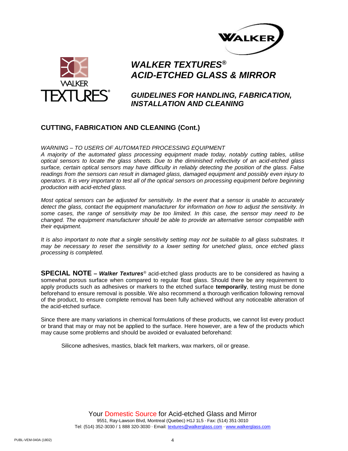



*GUIDELINES FOR HANDLING, FABRICATION, INSTALLATION AND CLEANING*

#### **CUTTING, FABRICATION AND CLEANING (Cont.)**

#### *WARNING – TO USERS OF AUTOMATED PROCESSING EQUIPMENT*

*A majority of the automated glass processing equipment made today, notably cutting tables, utilise optical sensors to locate the glass sheets. Due to the diminished reflectivity of an acid-etched glass surface, certain optical sensors may have difficulty in reliably detecting the position of the glass. False readings from the sensors can result in damaged glass, damaged equipment and possibly even injury to operators. It is very important to test all of the optical sensors on processing equipment before beginning production with acid-etched glass.* 

*Most optical sensors can be adjusted for sensitivity. In the event that a sensor is unable to accurately detect the glass, contact the equipment manufacturer for information on how to adjust the sensitivity. In some cases, the range of sensitivity may be too limited. In this case, the sensor may need to be changed. The equipment manufacturer should be able to provide an alternative sensor compatible with their equipment.* 

*It is also important to note that a single sensitivity setting may not be suitable to all glass substrates. It may be necessary to reset the sensitivity to a lower setting for unetched glass, once etched glass processing is completed.*

**SPECIAL NOTE –** *Walker Textures®* acid-etched glass products are to be considered as having a somewhat porous surface when compared to regular float glass. Should there be any requirement to apply products such as adhesives or markers to the etched surface **temporarily**, testing must be done beforehand to ensure removal is possible. We also recommend a thorough verification following removal of the product, to ensure complete removal has been fully achieved without any noticeable alteration of the acid-etched surface.

Since there are many variations in chemical formulations of these products, we cannot list every product or brand that may or may not be applied to the surface. Here however, are a few of the products which may cause some problems and should be avoided or evaluated beforehand:

Silicone adhesives, mastics, black felt markers, wax markers, oil or grease.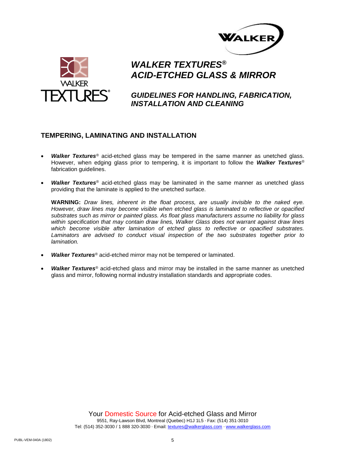



*GUIDELINES FOR HANDLING, FABRICATION, INSTALLATION AND CLEANING*

#### **TEMPERING, LAMINATING AND INSTALLATION**

- *Walker Textures®* acid-etched glass may be tempered in the same manner as unetched glass. However, when edging glass prior to tempering, it is important to follow the *Walker Textures®* fabrication guidelines.
- *Walker Textures®* acid-etched glass may be laminated in the same manner as unetched glass providing that the laminate is applied to the unetched surface.

**WARNING:** *Draw lines, inherent in the float process, are usually invisible to the naked eye. However, draw lines may become visible when etched glass is laminated to reflective or opacified substrates such as mirror or painted glass. As float glass manufacturers assume no liability for glass within specification that may contain draw lines, Walker Glass does not warrant against draw lines which become visible after lamination of etched glass to reflective or opacified substrates. Laminators are advised to conduct visual inspection of the two substrates together prior to lamination.*

- *Walker Textures®* acid-etched mirror may not be tempered or laminated.
- *Walker Textures®* acid-etched glass and mirror may be installed in the same manner as unetched glass and mirror, following normal industry installation standards and appropriate codes.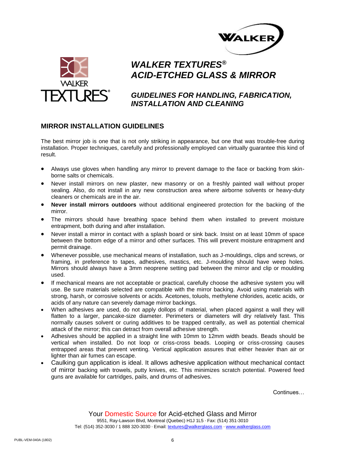



# *GUIDELINES FOR HANDLING, FABRICATION, INSTALLATION AND CLEANING*

### **MIRROR INSTALLATION GUIDELINES**

The best mirror job is one that is not only striking in appearance, but one that was trouble-free during installation. Proper techniques, carefully and professionally employed can virtually guarantee this kind of result.

- Always use gloves when handling any mirror to prevent damage to the face or backing from skinborne salts or chemicals.
- Never install mirrors on new plaster, new masonry or on a freshly painted wall without proper sealing. Also, do not install in any new construction area where airborne solvents or heavy-duty cleaners or chemicals are in the air.
- **Never install mirrors outdoors** without additional engineered protection for the backing of the mirror.
- The mirrors should have breathing space behind them when installed to prevent moisture entrapment, both during and after installation.
- Never install a mirror in contact with a splash board or sink back. Insist on at least 10mm of space between the bottom edge of a mirror and other surfaces. This will prevent moisture entrapment and permit drainage.
- Whenever possible, use mechanical means of installation, such as J-mouldings, clips and screws, or framing, in preference to tapes, adhesives, mastics, etc. J-moulding should have weep holes. Mirrors should always have a 3mm neoprene setting pad between the mirror and clip or moulding used.
- If mechanical means are not acceptable or practical, carefully choose the adhesive system you will use. Be sure materials selected are compatible with the mirror backing. Avoid using materials with strong, harsh, or corrosive solvents or acids. Acetones, toluols, methylene chlorides, acetic acids, or acids of any nature can severely damage mirror backings.
- When adhesives are used, do not apply dollops of material, when placed against a wall they will flatten to a larger, pancake-size diameter. Perimeters or diameters will dry relatively fast. This normally causes solvent or curing additives to be trapped centrally, as well as potential chemical attack of the mirror; this can detract from overall adhesive strength.
- Adhesives should be applied in a straight line with 10mm to 12mm width beads. Beads should be vertical when installed. Do not loop or criss-cross beads. Looping or criss-crossing causes entrapped areas that prevent venting. Vertical application assures that either heavier than air or lighter than air fumes can escape.
- Caulking gun application is ideal. It allows adhesive application without mechanical contact of mirror backing with trowels, putty knives, etc. This minimizes scratch potential. Powered feed guns are available for cartridges, pails, and drums of adhesives.

Continues…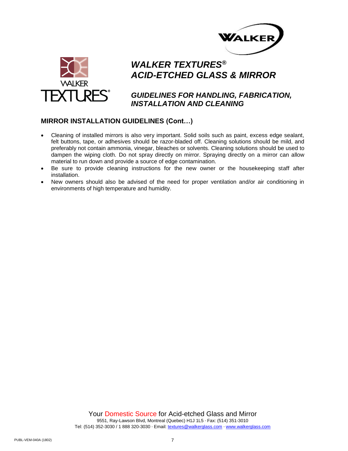



### *GUIDELINES FOR HANDLING, FABRICATION, INSTALLATION AND CLEANING*

### **MIRROR INSTALLATION GUIDELINES (Cont…)**

- Cleaning of installed mirrors is also very important. Solid soils such as paint, excess edge sealant, felt buttons, tape, or adhesives should be razor-bladed off. Cleaning solutions should be mild, and preferably not contain ammonia, vinegar, bleaches or solvents. Cleaning solutions should be used to dampen the wiping cloth. Do not spray directly on mirror. Spraying directly on a mirror can allow material to run down and provide a source of edge contamination.
- Be sure to provide cleaning instructions for the new owner or the housekeeping staff after installation.
- New owners should also be advised of the need for proper ventilation and/or air conditioning in environments of high temperature and humidity.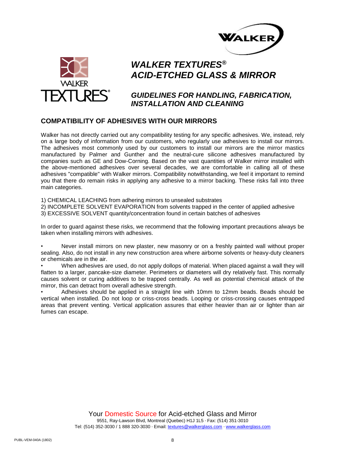



### *GUIDELINES FOR HANDLING, FABRICATION, INSTALLATION AND CLEANING*

#### **COMPATIBILITY OF ADHESIVES WITH OUR MIRRORS**

Walker has not directly carried out any compatibility testing for any specific adhesives. We, instead, rely on a large body of information from our customers, who regularly use adhesives to install our mirrors. The adhesives most commonly used by our customers to install our mirrors are the mirror mastics manufactured by Palmer and Gunther and the neutral-cure silicone adhesives manufactured by companies such as GE and Dow-Corning. Based on the vast quantities of Walker mirror installed with the above-mentioned adhesives over several decades, we are comfortable in calling all of these adhesives "compatible" with Walker mirrors. Compatibility notwithstanding, we feel it important to remind you that there do remain risks in applying any adhesive to a mirror backing. These risks fall into three main categories.

1) CHEMICAL LEACHING from adhering mirrors to unsealed substrates

2) INCOMPLETE SOLVENT EVAPORATION from solvents trapped in the center of applied adhesive

3) EXCESSIVE SOLVENT quantity/concentration found in certain batches of adhesives

In order to guard against these risks, we recommend that the following important precautions always be taken when installing mirrors with adhesives.

• Never install mirrors on new plaster, new masonry or on a freshly painted wall without proper sealing. Also, do not install in any new construction area where airborne solvents or heavy-duty cleaners or chemicals are in the air.

• When adhesives are used, do not apply dollops of material. When placed against a wall they will flatten to a larger, pancake-size diameter. Perimeters or diameters will dry relatively fast. This normally causes solvent or curing additives to be trapped centrally. As well as potential chemical attack of the mirror, this can detract from overall adhesive strength.

• Adhesives should be applied in a straight line with 10mm to 12mm beads. Beads should be vertical when installed. Do not loop or criss-cross beads. Looping or criss-crossing causes entrapped areas that prevent venting. Vertical application assures that either heavier than air or lighter than air fumes can escape.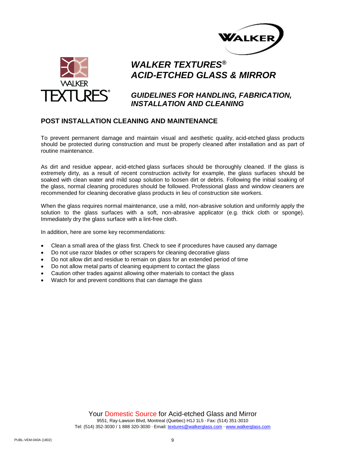



### *GUIDELINES FOR HANDLING, FABRICATION, INSTALLATION AND CLEANING*

#### **POST INSTALLATION CLEANING AND MAINTENANCE**

To prevent permanent damage and maintain visual and aesthetic quality, acid-etched glass products should be protected during construction and must be properly cleaned after installation and as part of routine maintenance.

As dirt and residue appear, acid-etched glass surfaces should be thoroughly cleaned. If the glass is extremely dirty, as a result of recent construction activity for example, the glass surfaces should be soaked with clean water and mild soap solution to loosen dirt or debris. Following the initial soaking of the glass, normal cleaning procedures should be followed. Professional glass and window cleaners are recommended for cleaning decorative glass products in lieu of construction site workers.

When the glass requires normal maintenance, use a mild, non-abrasive solution and uniformly apply the solution to the glass surfaces with a soft, non-abrasive applicator (e.g. thick cloth or sponge). Immediately dry the glass surface with a lint-free cloth.

In addition, here are some key recommendations:

- Clean a small area of the glass first. Check to see if procedures have caused any damage
- Do not use razor blades or other scrapers for cleaning decorative glass
- Do not allow dirt and residue to remain on glass for an extended period of time
- Do not allow metal parts of cleaning equipment to contact the glass
- Caution other trades against allowing other materials to contact the glass
- Watch for and prevent conditions that can damage the glass